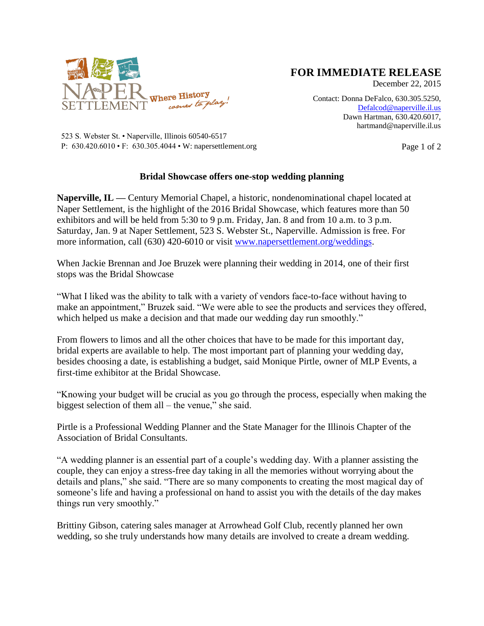

## **FOR IMMEDIATE RELEASE**

December 22, 2015

Contact: Donna DeFalco, 630.305.5250, [Defalcod@naperville.il.us](mailto:Defalcod@naperville.il.us) Dawn Hartman, 630.420.6017, hartmand@naperville.il.us

523 S. Webster St. • Naperville, Illinois 60540-6517 P: 630.420.6010 • F: 630.305.4044 • W: napersettlement.org Page 1 of 2

## **Bridal Showcase offers one-stop wedding planning**

**Naperville, IL —** Century Memorial Chapel, a historic, nondenominational chapel located at Naper Settlement, is the highlight of the 2016 Bridal Showcase, which features more than 50 exhibitors and will be held from 5:30 to 9 p.m. Friday, Jan. 8 and from 10 a.m. to 3 p.m. Saturday, Jan. 9 at Naper Settlement, 523 S. Webster St., Naperville. Admission is free. For more information, call (630) 420-6010 or visit [www.napersettlement.org/weddings.](http://www.napersettlement.org/weddings)

When Jackie Brennan and Joe Bruzek were planning their wedding in 2014, one of their first stops was the Bridal Showcase

"What I liked was the ability to talk with a variety of vendors face-to-face without having to make an appointment," Bruzek said. "We were able to see the products and services they offered, which helped us make a decision and that made our wedding day run smoothly."

From flowers to limos and all the other choices that have to be made for this important day, bridal experts are available to help. The most important part of planning your wedding day, besides choosing a date, is establishing a budget, said Monique Pirtle, owner of MLP Events, a first-time exhibitor at the Bridal Showcase.

"Knowing your budget will be crucial as you go through the process, especially when making the biggest selection of them all – the venue," she said.

Pirtle is a Professional Wedding Planner and the State Manager for the Illinois Chapter of the Association of Bridal Consultants.

"A wedding planner is an essential part of a couple's wedding day. With a planner assisting the couple, they can enjoy a stress-free day taking in all the memories without worrying about the details and plans," she said. "There are so many components to creating the most magical day of someone's life and having a professional on hand to assist you with the details of the day makes things run very smoothly."

Brittiny Gibson, catering sales manager at Arrowhead Golf Club, recently planned her own wedding, so she truly understands how many details are involved to create a dream wedding.